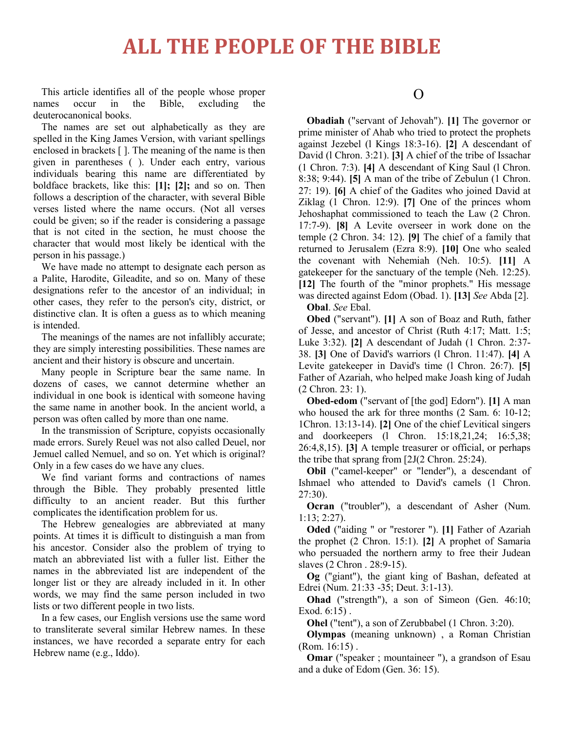## **ALL THE PEOPLE OF THE BIBLE**

This article identifies all of the people whose proper names occur in the Bible, excluding the deuterocanonical books.

The names are set out alphabetically as they are spelled in the King James Version, with variant spellings enclosed in brackets [ ]. The meaning of the name is then given in parentheses ( ). Under each entry, various individuals bearing this name are differentiated by boldface brackets, like this: **[1]; [2];** and so on. Then follows a description of the character, with several Bible verses listed where the name occurs. (Not all verses could be given; so if the reader is considering a passage that is not cited in the section, he must choose the character that would most likely be identical with the person in his passage.)

We have made no attempt to designate each person as a Palite, Harodite, Gileadite, and so on. Many of these designations refer to the ancestor of an individual; in other cases, they refer to the person's city, district, or distinctive clan. It is often a guess as to which meaning is intended.

The meanings of the names are not infallibly accurate; they are simply interesting possibilities. These names are ancient and their history is obscure and uncertain.

Many people in Scripture bear the same name. In dozens of cases, we cannot determine whether an individual in one book is identical with someone having the same name in another book. In the ancient world, a person was often called by more than one name.

In the transmission of Scripture, copyists occasionally made errors. Surely Reuel was not also called Deuel, nor Jemuel called Nemuel, and so on. Yet which is original? Only in a few cases do we have any clues.

We find variant forms and contractions of names through the Bible. They probably presented little difficulty to an ancient reader. But this further complicates the identification problem for us.

The Hebrew genealogies are abbreviated at many points. At times it is difficult to distinguish a man from his ancestor. Consider also the problem of trying to match an abbreviated list with a fuller list. Either the names in the abbreviated list are independent of the longer list or they are already included in it. In other words, we may find the same person included in two lists or two different people in two lists.

In a few cases, our English versions use the same word to transliterate several similar Hebrew names. In these instances, we have recorded a separate entry for each Hebrew name (e.g., Iddo).

## $\Omega$

**Obadiah** ("servant of Jehovah"). **[1]** The governor or prime minister of Ahab who tried to protect the prophets against Jezebel (l Kings 18:3-16). **[2]** A descendant of David (l Chron. 3:21). **[3]** A chief of the tribe of Issachar (1 Chron. 7:3). **[4]** A descendant of King Saul (l Chron. 8:38; 9:44). **[5]** A man of the tribe of Zebulun (1 Chron. 27: 19). **[6]** A chief of the Gadites who joined David at Ziklag (1 Chron. 12:9). **[7]** One of the princes whom Jehoshaphat commissioned to teach the Law (2 Chron. 17:7-9). **[8]** A Levite overseer in work done on the temple (2 Chron. 34: 12). **[9]** The chief of a family that returned to Jerusalem (Ezra 8:9). **[10]** One who sealed the covenant with Nehemiah (Neh. 10:5). **[11]** A gatekeeper for the sanctuary of the temple (Neh. 12:25). **[12]** The fourth of the "minor prophets." His message was directed against Edom (Obad. 1). **[13]** *See* Abda [2]. **Obal**. *See* Ebal.

**Obed** ("servant"). **[1]** A son of Boaz and Ruth, father of Jesse, and ancestor of Christ (Ruth 4:17; Matt. 1:5; Luke 3:32). **[2]** A descendant of Judah (1 Chron. 2:37- 38. **[3]** One of David's warriors (l Chron. 11:47). **[4]** A Levite gatekeeper in David's time (l Chron. 26:7). **[5]** Father of Azariah, who helped make Joash king of Judah (2 Chron. 23: 1).

**Obed-edom** ("servant of [the god] Edorn"). **[1]** A man who housed the ark for three months (2 Sam. 6: 10-12; 1Chron. 13:13-14). **[2]** One of the chief Levitical singers and doorkeepers (l Chron. 15:18,21,24; 16:5,38; 26:4,8,15). **[3]** A temple treasurer or official, or perhaps the tribe that sprang from [2J(2 Chron. 25:24).

**Obil** ("camel-keeper" or "lender"), a descendant of Ishmael who attended to David's camels (1 Chron. 27:30).

**Ocran** ("troubler"), a descendant of Asher (Num. 1:13; 2:27).

**Oded** ("aiding " or "restorer "). **[1]** Father of Azariah the prophet (2 Chron. 15:1). **[2]** A prophet of Samaria who persuaded the northern army to free their Judean slaves (2 Chron . 28:9-15).

**Og** ("giant"), the giant king of Bashan, defeated at Edrei (Num. 21:33 -35; Deut. 3:1-13).

**Ohad** ("strength"), a son of Simeon (Gen. 46:10; Exod. 6:15) .

**Ohel** ("tent"), a son of Zerubbabel (1 Chron. 3:20).

**Olympas** (meaning unknown) , a Roman Christian (Rom. 16:15) .

**Omar** ("speaker; mountaineer"), a grandson of Esau and a duke of Edom (Gen. 36: 15).